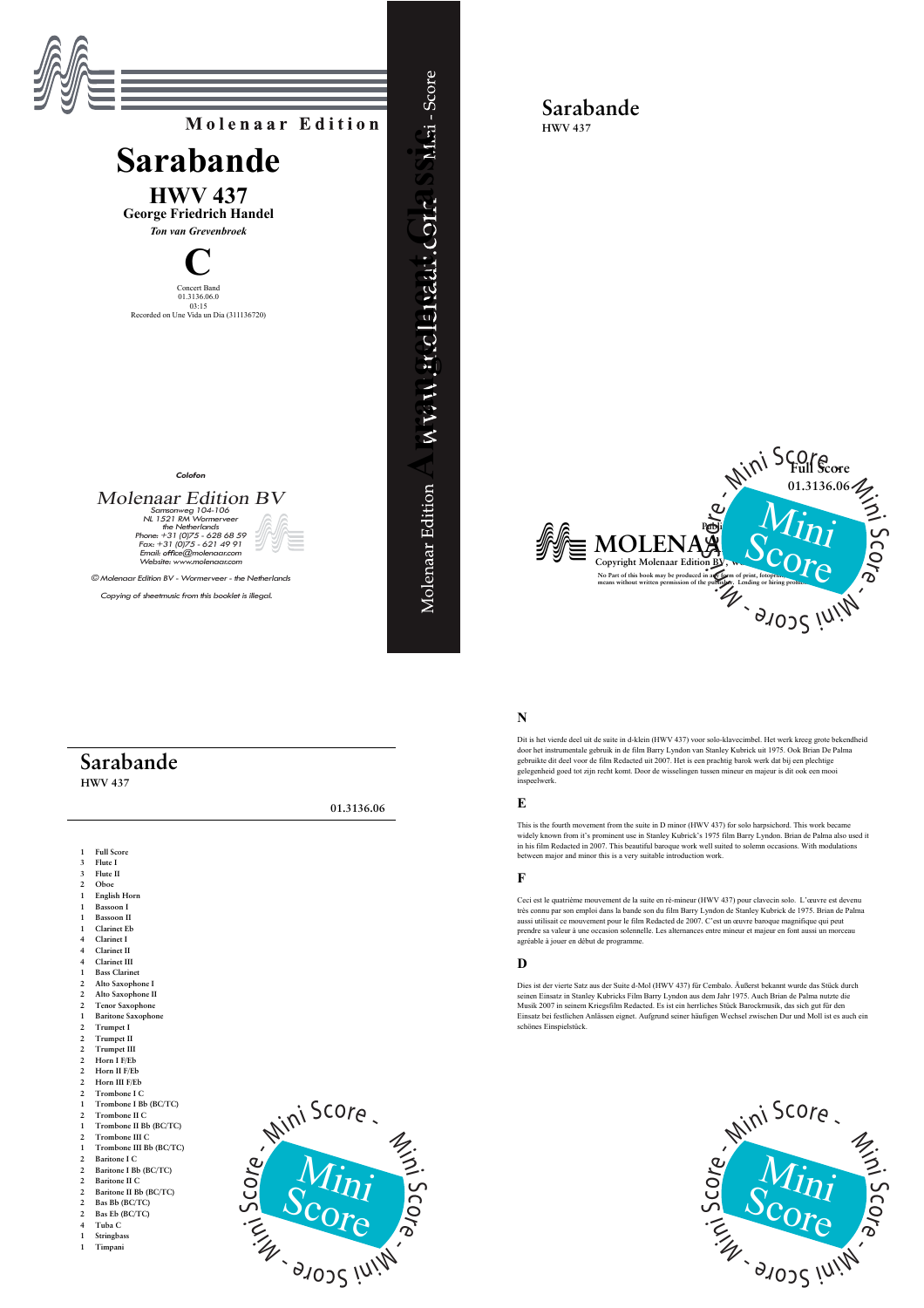

# Sarabande

**HWV 437** 

|                                |                                              | 01.3136.06                |
|--------------------------------|----------------------------------------------|---------------------------|
|                                |                                              |                           |
| $\mathbf{1}$                   | <b>Full Score</b>                            |                           |
| 3                              | Flute I                                      |                           |
| 3                              | Flute II                                     |                           |
| $\overline{2}$                 | Oboe                                         |                           |
| $\mathbf{1}$                   | <b>English Horn</b>                          |                           |
| 1                              | Bassoon I                                    |                           |
| 1                              | <b>Bassoon II</b>                            |                           |
| 1                              | Clarinet Eb                                  |                           |
| $\overline{4}$                 | Clarinet I                                   |                           |
| $\overline{4}$                 | Clarinet II                                  |                           |
| $\overline{4}$                 | Clarinet III                                 |                           |
| $\mathbf{1}$                   | <b>Bass Clarinet</b>                         |                           |
| $\overline{2}$                 | Alto Saxophone I                             |                           |
| $\overline{2}$                 | Alto Saxophone II                            |                           |
| $\overline{2}$<br>$\mathbf{1}$ | Tenor Saxophone<br><b>Baritone Saxophone</b> |                           |
| $\overline{\mathbf{c}}$        | Trumpet I                                    |                           |
| $\overline{2}$                 |                                              |                           |
| $\overline{2}$                 | Trumpet II<br>Trumpet III                    |                           |
| $\mathbf{2}$                   | Horn I F/Eb                                  |                           |
| $\overline{2}$                 | Horn II F/Eb                                 |                           |
| $\overline{2}$                 | Horn III F/Eb                                |                           |
| $\mathbf{2}$                   | Trombone I C                                 |                           |
| $\mathbf{1}$                   | Trombone I Bb (BC/TC)                        | Mini Score                |
| $\overline{2}$                 | Trombone II C                                |                           |
| $\mathbf{1}$                   | Trombone II Bb (BC/TC)                       |                           |
| $\overline{2}$                 | Trombone III C                               |                           |
| $\mathbf{1}$                   | Trombone III Bb (BC/TC)                      |                           |
| $\overline{2}$                 | Baritone I C                                 | <b>Windo</b>              |
| $\overline{2}$                 | Baritone I Bb (BC/TC)                        |                           |
| $\overline{2}$                 | Baritone II C                                |                           |
| $\overline{2}$                 | Baritone II Bb (BC/TC)                       |                           |
| $\overline{2}$                 | Bas Bb (BC/TC)                               |                           |
| $\overline{2}$                 | Bas Eb (BC/TC)                               |                           |
| $\overline{4}$                 | Tuba C                                       |                           |
| $\mathbf{1}$                   | Stringbass                                   |                           |
| $\mathbf{1}$                   | Timpani                                      |                           |
|                                |                                              |                           |
|                                |                                              |                           |
|                                |                                              | Score<br>$\partial U_{0}$ |

Sarabande **HWV 437** 



#### $\overline{\mathbf{N}}$

Dit is het vierde deel uit de suite in d-klein (HWV 437) voor solo-klavecimbel. Het werk kreeg grote bekendheid<br>door het instrumentale gebruik in de film Barry Lyndon van Stanley Kubrick uit 1975. Ook Brian De Palma<br>gebrui generate on a control of the methods of the set present of the set process of the set process of the set process of the set process of the set process of the set process of the set process of the set process of the set pro

### $\overline{E}$

This is the fourth movement from the suite in D minor (HWV 437) for solo harpsichord. This work became Fins is the Youth in the prominent use in Stanley Kubrick's 1975 film Barry Lyndon. Brian de Palma also used it<br>in his film Redacted in 2007. This beautiful baroque work well suited to solemn occasions. With modulations<br>b

## $\overline{\mathbf{F}}$

Ceci est le quatrième mouvement de la suite en ré-mineur (HWV 437) nour clavecin solo I Cœuvre est devenu Ccci est le quatrienne mouvement de la suite en ré-mineur (HWV 437) pour clavecin solo. L'œuvre est devenu<br>très comm par son emploi dans la bande son du film Barry Lyndon de Stanley Kubrick de 1975. Brian de Palma<br>aussi u agréable à jouer en début de programme.

#### D

Dies ist der vierte Satz aus der Suite d-Mol (HWV 437) für Cembalo. Äußerst bekannt wurde das Stück durch seinen Einsatz in Stanley Kubricks Film Barry Lyndon aus dem Jahr 1975. Auch Brian de Palma nutzte die Musik 2007 in schönes Einspielstück.

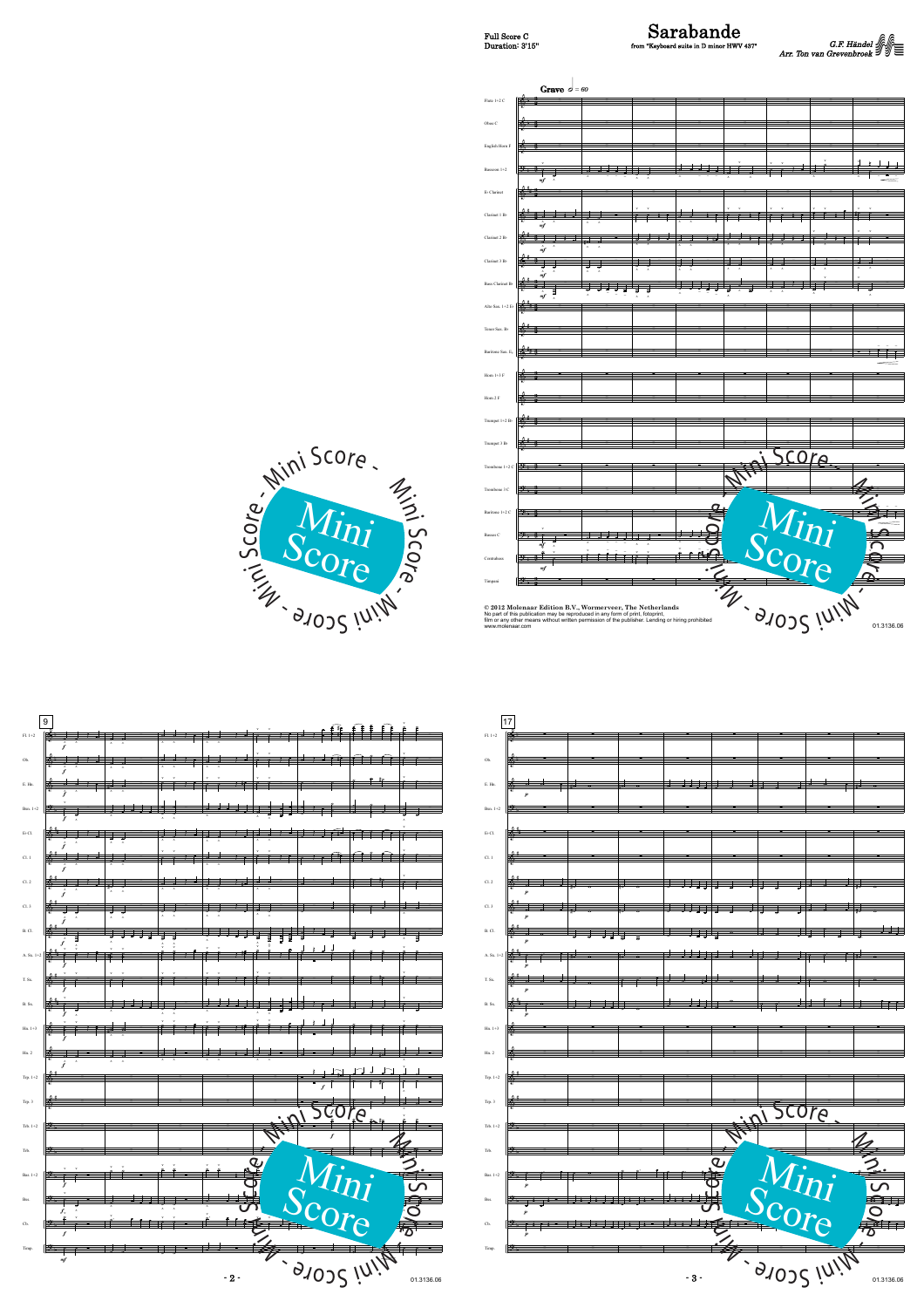



|                 | 9 |  |  |  |   |                          |             |  |            |
|-----------------|---|--|--|--|---|--------------------------|-------------|--|------------|
| $FL 1+2$        |   |  |  |  |   |                          |             |  |            |
| Ob.             |   |  |  |  |   |                          |             |  |            |
|                 |   |  |  |  |   |                          |             |  |            |
| E. Hn.          |   |  |  |  |   |                          |             |  |            |
| Bsn. 1+2        |   |  |  |  |   |                          |             |  |            |
| $\mathbb B$ Cl. |   |  |  |  |   |                          |             |  |            |
| CL1             |   |  |  |  |   |                          |             |  |            |
|                 |   |  |  |  |   |                          |             |  |            |
| CL2             |   |  |  |  |   |                          |             |  |            |
| CL3             |   |  |  |  |   |                          |             |  |            |
| <b>B.</b> Cl.   |   |  |  |  |   |                          |             |  |            |
| A. Sx. $1+2$    |   |  |  |  |   |                          |             |  |            |
|                 | ఱ |  |  |  |   |                          |             |  |            |
| T. Sx.          |   |  |  |  |   |                          |             |  |            |
| B. Sx.          | 珻 |  |  |  |   |                          |             |  |            |
| $Hn. 1+3$       | 凾 |  |  |  |   |                          |             |  |            |
| Hn.2            |   |  |  |  |   |                          |             |  |            |
|                 | ¢ |  |  |  |   |                          |             |  |            |
| Trp. $1+2$      | é |  |  |  |   |                          |             |  |            |
| Trp. 3          | 楍 |  |  |  |   |                          |             |  |            |
| Trb. $1+2$      |   |  |  |  |   |                          |             |  |            |
| Trb.            |   |  |  |  |   |                          |             |  |            |
|                 |   |  |  |  |   |                          |             |  |            |
| Bar. $1+2$      |   |  |  |  |   |                          |             |  |            |
| Bss.            |   |  |  |  |   |                          |             |  |            |
| Cb              | E |  |  |  |   |                          |             |  |            |
|                 |   |  |  |  |   |                          | <b>MINE</b> |  |            |
|                 |   |  |  |  |   | $\overline{\phantom{0}}$ |             |  |            |
|                 |   |  |  |  | 2 |                          | 403510      |  | 01.3136.06 |

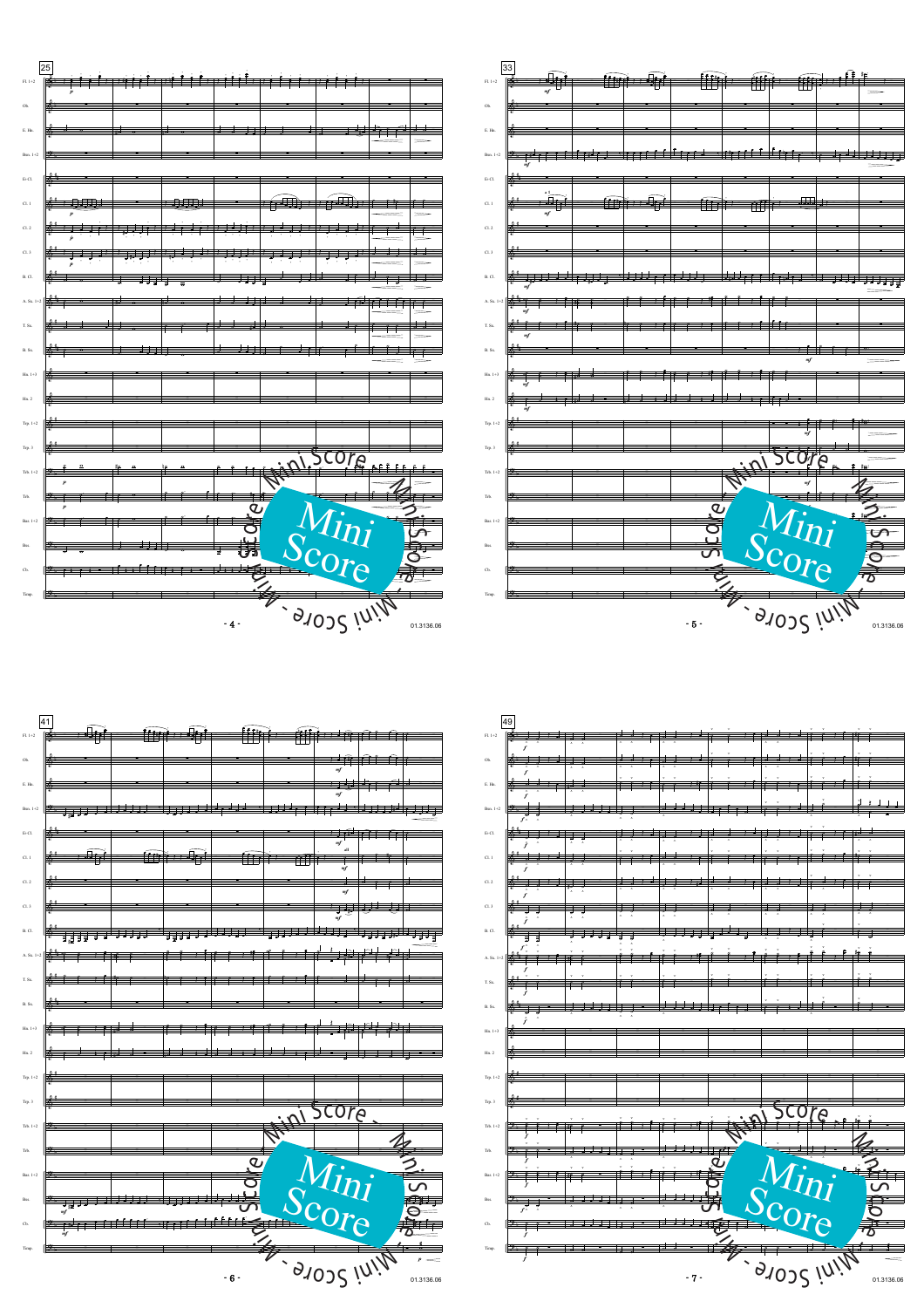|                 | 25    |          |    |                      |                       |            |
|-----------------|-------|----------|----|----------------------|-----------------------|------------|
| $FL 1+2$        |       |          |    |                      |                       |            |
| Ob.             |       |          |    |                      |                       |            |
| E. Hn.          |       |          |    |                      |                       |            |
| Bsn. 1+2        |       |          |    |                      |                       |            |
| $\mathbb B$ Cl. |       |          |    |                      |                       |            |
| CL1             | JJJJ. | <b>.</b> |    | اللتم                |                       |            |
| CL2             |       | ∓        | ┳  | ₹                    |                       |            |
| CL3             |       |          |    |                      |                       |            |
| <b>B.</b> Cl.   |       |          |    |                      |                       |            |
| A. Sx. 1+2      |       |          |    |                      |                       |            |
| T. Sx.          |       |          |    |                      |                       |            |
| B. Sx           |       |          |    |                      |                       |            |
| $Hn. 1+3$       |       |          |    |                      |                       |            |
| Hn.2            |       |          |    |                      |                       |            |
| Trp. $1+2$      |       |          |    |                      |                       |            |
| Trp. 3          |       |          |    |                      | چcor                  |            |
| Trb. $1+2$      | ≖     |          |    |                      |                       |            |
| Trb.            |       |          | Q  |                      |                       |            |
| Bar. $1+2$      |       |          |    |                      | Mini                  |            |
| <b>Bss</b>      |       |          |    |                      |                       |            |
| Cb.             |       |          |    |                      |                       |            |
| Tim             |       |          |    | $\ddot{\phantom{1}}$ |                       |            |
|                 |       |          | 4. |                      | $\frac{1}{2}1036$ $i$ | 01.3136.06 |



|               | 41                          |               |          |    |               |   |            |
|---------------|-----------------------------|---------------|----------|----|---------------|---|------------|
| $FL 1+2$      |                             |               |          |    |               |   |            |
|               |                             |               |          |    |               |   |            |
| Ob.           |                             |               |          |    |               |   |            |
|               |                             |               |          |    |               |   |            |
| E. Hn.        |                             |               |          |    | ₩             |   |            |
|               |                             |               |          |    |               |   |            |
| Bsn. $1+2$    |                             |               |          |    |               |   |            |
|               |                             |               |          |    |               |   |            |
|               |                             |               |          |    |               |   |            |
| E CI          |                             |               |          |    |               |   |            |
|               |                             |               |          |    | άÌ            |   |            |
| CL1           |                             |               |          | ۴ť |               |   |            |
|               |                             |               |          |    | .<br>of       |   |            |
| CL2           |                             |               |          |    |               |   |            |
|               |                             |               |          |    | mf            |   |            |
| CL3           |                             |               |          |    | IJ            |   |            |
|               |                             |               |          |    |               |   |            |
| <b>B.</b> Cl. |                             |               |          |    |               |   |            |
|               | 現其                          |               |          |    |               |   |            |
|               |                             |               |          |    |               |   |            |
| A. Sx         |                             |               |          |    |               |   |            |
|               |                             |               |          |    |               |   |            |
| T. Sx.        |                             |               |          |    |               |   |            |
|               |                             |               |          |    |               |   |            |
| B. Sx.        |                             |               |          |    |               |   |            |
|               |                             |               |          |    |               |   |            |
| $Hn. 1+3$     |                             |               |          |    |               |   |            |
|               |                             |               |          |    |               |   |            |
| Hn.2          |                             |               |          |    |               |   |            |
|               |                             |               |          |    |               |   |            |
| Trp. $1+2$    | 嗑                           |               |          |    |               |   |            |
|               |                             |               |          |    |               |   |            |
| Trp. 3        | 凾                           |               |          |    |               |   |            |
|               |                             |               |          |    |               |   |            |
|               | 去                           |               |          |    | ipi Score     |   |            |
| $Thb. 1+2$    |                             |               |          |    |               |   |            |
|               |                             |               |          |    |               |   |            |
| Trb           |                             |               |          |    |               |   |            |
|               |                             |               | <u>୧</u> |    |               |   |            |
| Bar. $1+2$    |                             |               |          |    |               |   |            |
|               |                             |               |          |    |               |   |            |
|               | E,<br>गतग                   |               | ┹        |    |               |   |            |
|               |                             |               |          |    | Mini<br>Pcore |   |            |
| Cb            | $\mathbb{P}$ p $\mathbb{P}$ | تنبيب بالبنين |          |    |               |   |            |
|               |                             |               |          |    |               |   |            |
| Tim           |                             |               |          |    |               |   |            |
|               |                             |               |          |    |               |   |            |
|               |                             |               |          |    | 91005         | W |            |
|               |                             |               | 6        |    |               |   | 01.3136.06 |